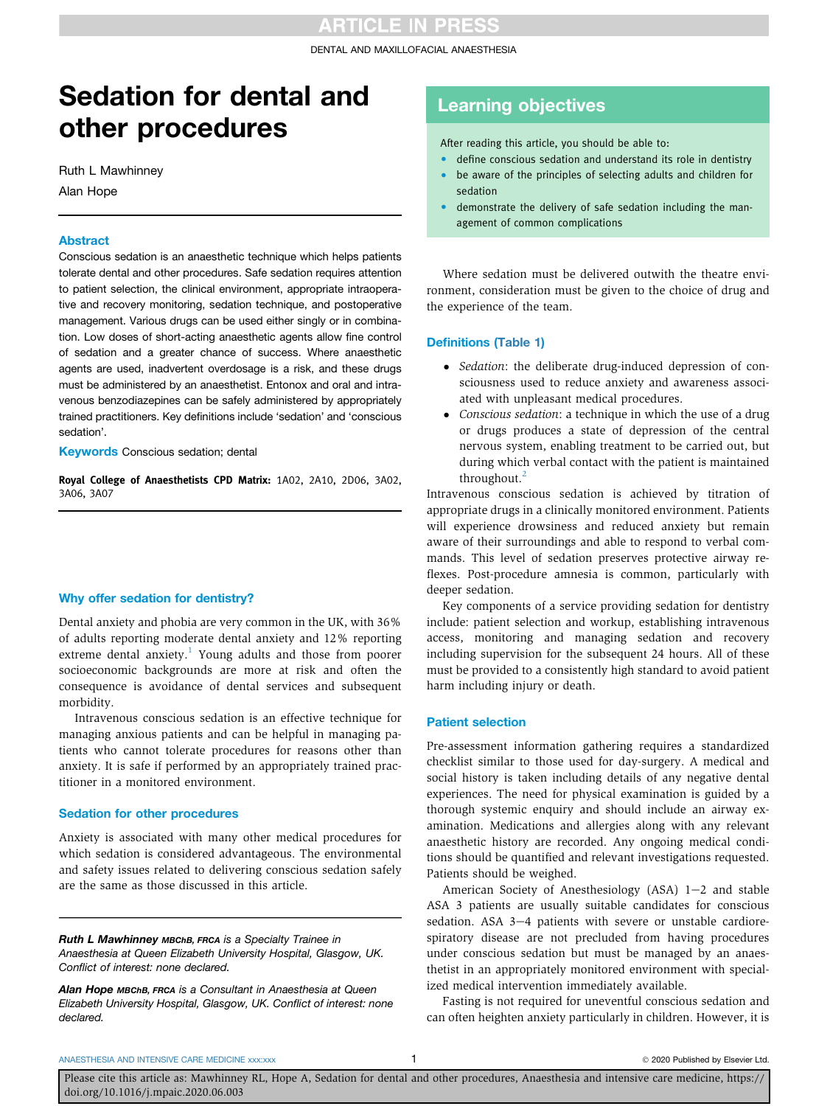DENTAL AND MAXILLOFACIAL ANAESTHESIA

# Sedation for dental and other procedures

Ruth L Mawhinney Alan Hope

#### Abstract

Conscious sedation is an anaesthetic technique which helps patients tolerate dental and other procedures. Safe sedation requires attention to patient selection, the clinical environment, appropriate intraoperative and recovery monitoring, sedation technique, and postoperative management. Various drugs can be used either singly or in combination. Low doses of short-acting anaesthetic agents allow fine control of sedation and a greater chance of success. Where anaesthetic agents are used, inadvertent overdosage is a risk, and these drugs must be administered by an anaesthetist. Entonox and oral and intravenous benzodiazepines can be safely administered by appropriately trained practitioners. Key definitions include 'sedation' and 'conscious sedation'.

**Keywords** Conscious sedation; dental

Royal College of Anaesthetists CPD Matrix: 1A02, 2A10, 2D06, 3A02, 3A06, 3A07

# Why offer sedation for dentistry?

Dental anxiety and phobia are very common in the UK, with 36% of adults reporting moderate dental anxiety and 12% reporting extreme dental anxiety.<sup>[1](#page-3-0)</sup> Young adults and those from poorer socioeconomic backgrounds are more at risk and often the consequence is avoidance of dental services and subsequent morbidity.

Intravenous conscious sedation is an effective technique for managing anxious patients and can be helpful in managing patients who cannot tolerate procedures for reasons other than anxiety. It is safe if performed by an appropriately trained practitioner in a monitored environment.

## Sedation for other procedures

Anxiety is associated with many other medical procedures for which sedation is considered advantageous. The environmental and safety issues related to delivering conscious sedation safely are the same as those discussed in this article.

Ruth L Mawhinney MBChB, FRCA is a Specialty Trainee in Anaesthesia at Queen Elizabeth University Hospital, Glasgow, UK. Conflict of interest: none declared.

Alan Hope MBChB, FRCA is a Consultant in Anaesthesia at Queen Elizabeth University Hospital, Glasgow, UK. Conflict of interest: none declared.

# Learning objectives

After reading this article, you should be able to:

- define conscious sedation and understand its role in dentistry be aware of the principles of selecting adults and children for
- sedation demonstrate the delivery of safe sedation including the management of common complications

Where sedation must be delivered outwith the theatre environment, consideration must be given to the choice of drug and the experience of the team.

# Definitions [\(Table 1\)](#page-1-0)

- Sedation: the deliberate drug-induced depression of consciousness used to reduce anxiety and awareness associated with unpleasant medical procedures.
- Conscious sedation: a technique in which the use of a drug or drugs produces a state of depression of the central nervous system, enabling treatment to be carried out, but during which verbal contact with the patient is maintained throughout.<sup>[2](#page-3-1)</sup>

Intravenous conscious sedation is achieved by titration of appropriate drugs in a clinically monitored environment. Patients will experience drowsiness and reduced anxiety but remain aware of their surroundings and able to respond to verbal commands. This level of sedation preserves protective airway reflexes. Post-procedure amnesia is common, particularly with deeper sedation.

Key components of a service providing sedation for dentistry include: patient selection and workup, establishing intravenous access, monitoring and managing sedation and recovery including supervision for the subsequent 24 hours. All of these must be provided to a consistently high standard to avoid patient harm including injury or death.

# Patient selection

Pre-assessment information gathering requires a standardized checklist similar to those used for day-surgery. A medical and social history is taken including details of any negative dental experiences. The need for physical examination is guided by a thorough systemic enquiry and should include an airway examination. Medications and allergies along with any relevant anaesthetic history are recorded. Any ongoing medical conditions should be quantified and relevant investigations requested. Patients should be weighed.

American Society of Anesthesiology (ASA)  $1-2$  and stable ASA 3 patients are usually suitable candidates for conscious sedation. ASA  $3-4$  patients with severe or unstable cardiorespiratory disease are not precluded from having procedures under conscious sedation but must be managed by an anaesthetist in an appropriately monitored environment with specialized medical intervention immediately available.

Fasting is not required for uneventful conscious sedation and can often heighten anxiety particularly in children. However, it is

[ANAESTHESIA AND INTENSIVE CARE MEDICINE xxx:xxx](https://doi.org/10.1016/j.mpaic.2020.06.003) **2020** Published by Elsevier Ltd. 2020 Published by Elsevier Ltd.

Please cite this article as: Mawhinney RL, Hope A, Sedation for dental and other procedures, Anaesthesia and intensive care medicine, https:// doi.org/10.1016/j.mpaic.2020.06.003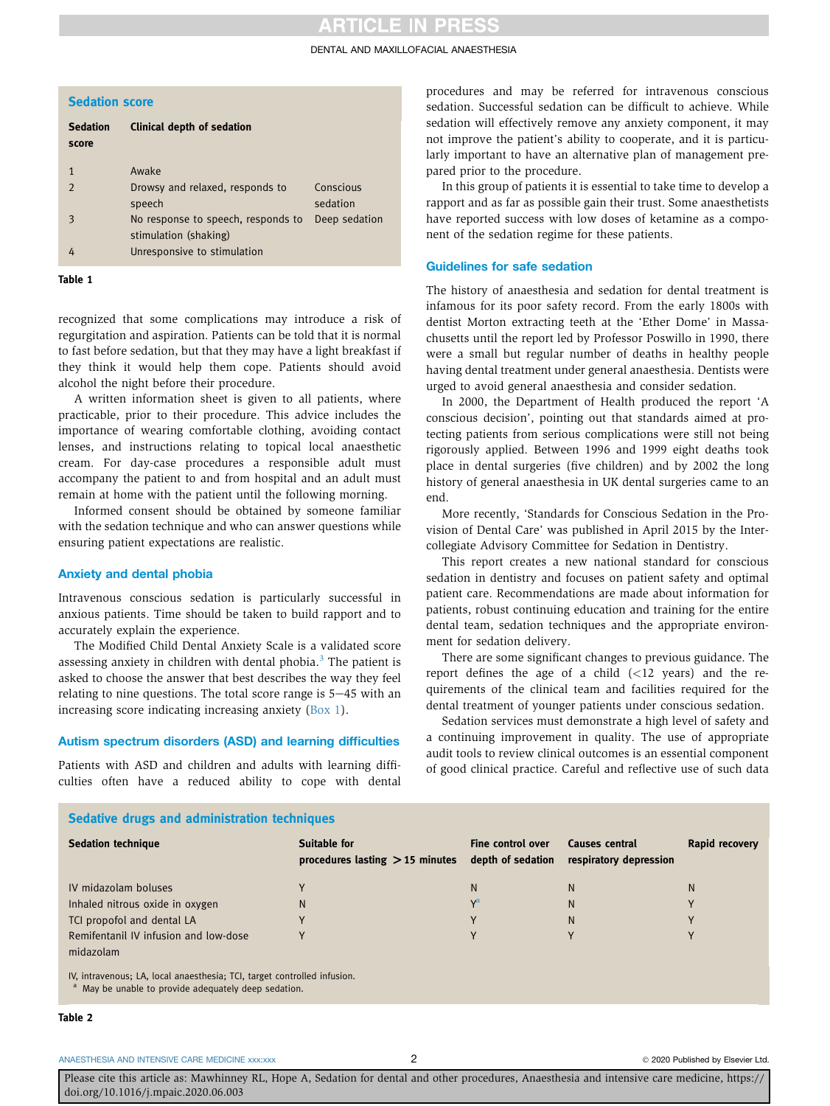# **ARTICLE IN PRESS**

#### DENTAL AND MAXILLOFACIAL ANAESTHESIA

<span id="page-1-0"></span>

| <b>Sedation score</b> |  |  |  |
|-----------------------|--|--|--|
|                       |  |  |  |

| <b>Sedation</b><br>score | <b>Clinical depth of sedation</b>                           |                       |
|--------------------------|-------------------------------------------------------------|-----------------------|
| 1                        | Awake                                                       |                       |
| $\mathcal{P}$            | Drowsy and relaxed, responds to<br>speech                   | Conscious<br>sedation |
| 3                        | No response to speech, responds to<br>stimulation (shaking) | Deep sedation         |
| 4                        | Unresponsive to stimulation                                 |                       |

#### Table 1

recognized that some complications may introduce a risk of regurgitation and aspiration. Patients can be told that it is normal to fast before sedation, but that they may have a light breakfast if they think it would help them cope. Patients should avoid alcohol the night before their procedure.

A written information sheet is given to all patients, where practicable, prior to their procedure. This advice includes the importance of wearing comfortable clothing, avoiding contact lenses, and instructions relating to topical local anaesthetic cream. For day-case procedures a responsible adult must accompany the patient to and from hospital and an adult must remain at home with the patient until the following morning.

Informed consent should be obtained by someone familiar with the sedation technique and who can answer questions while ensuring patient expectations are realistic.

#### Anxiety and dental phobia

Intravenous conscious sedation is particularly successful in anxious patients. Time should be taken to build rapport and to accurately explain the experience.

The Modified Child Dental Anxiety Scale is a validated score assessing anxiety in children with dental phobia. $3$  The patient is asked to choose the answer that best describes the way they feel relating to nine questions. The total score range is  $5-45$  with an increasing score indicating increasing anxiety ([Box 1\)](#page-2-0).

### Autism spectrum disorders (ASD) and learning difficulties

Patients with ASD and children and adults with learning difficulties often have a reduced ability to cope with dental procedures and may be referred for intravenous conscious sedation. Successful sedation can be difficult to achieve. While sedation will effectively remove any anxiety component, it may not improve the patient's ability to cooperate, and it is particularly important to have an alternative plan of management prepared prior to the procedure.

In this group of patients it is essential to take time to develop a rapport and as far as possible gain their trust. Some anaesthetists have reported success with low doses of ketamine as a component of the sedation regime for these patients.

### Guidelines for safe sedation

The history of anaesthesia and sedation for dental treatment is infamous for its poor safety record. From the early 1800s with dentist Morton extracting teeth at the 'Ether Dome' in Massachusetts until the report led by Professor Poswillo in 1990, there were a small but regular number of deaths in healthy people having dental treatment under general anaesthesia. Dentists were urged to avoid general anaesthesia and consider sedation.

In 2000, the Department of Health produced the report 'A conscious decision', pointing out that standards aimed at protecting patients from serious complications were still not being rigorously applied. Between 1996 and 1999 eight deaths took place in dental surgeries (five children) and by 2002 the long history of general anaesthesia in UK dental surgeries came to an end.

More recently, 'Standards for Conscious Sedation in the Provision of Dental Care' was published in April 2015 by the Intercollegiate Advisory Committee for Sedation in Dentistry.

This report creates a new national standard for conscious sedation in dentistry and focuses on patient safety and optimal patient care. Recommendations are made about information for patients, robust continuing education and training for the entire dental team, sedation techniques and the appropriate environment for sedation delivery.

There are some significant changes to previous guidance. The report defines the age of a child (<12 years) and the requirements of the clinical team and facilities required for the dental treatment of younger patients under conscious sedation.

Sedation services must demonstrate a high level of safety and a continuing improvement in quality. The use of appropriate audit tools to review clinical outcomes is an essential component of good clinical practice. Careful and reflective use of such data

<span id="page-1-2"></span>

| <b>Sedative drugs and administration techniques</b> |  |  |  |  |  |  |
|-----------------------------------------------------|--|--|--|--|--|--|
|-----------------------------------------------------|--|--|--|--|--|--|

| <b>Sedation technique</b>             | <b>Suitable for</b><br>procedures lasting $>$ 15 minutes | Fine control over<br>depth of sedation | <b>Causes central</b><br>respiratory depression | Rapid recovery |
|---------------------------------------|----------------------------------------------------------|----------------------------------------|-------------------------------------------------|----------------|
| IV midazolam boluses                  |                                                          | N                                      | N                                               | Ν              |
| Inhaled nitrous oxide in oxygen       | N                                                        | V <sup>a</sup>                         | N                                               |                |
| TCI propofol and dental LA            |                                                          |                                        | N                                               |                |
| Remifentanil IV infusion and low-dose |                                                          |                                        | v                                               |                |
| midazolam<br>$\mathbf{u}$             |                                                          |                                        |                                                 |                |

IV, intravenous; LA, local anaesthesia; TCI, target controlled infusion.

<span id="page-1-1"></span>May be unable to provide adequately deep sedation.

### Table 2

#### [ANAESTHESIA AND INTENSIVE CARE MEDICINE xxx:xxx](https://doi.org/10.1016/j.mpaic.2020.06.003) 2 2 2020 Published by Elsevier Ltd.

Please cite this article as: Mawhinney RL, Hope A, Sedation for dental and other procedures, Anaesthesia and intensive care medicine, https:// doi.org/10.1016/j.mpaic.2020.06.003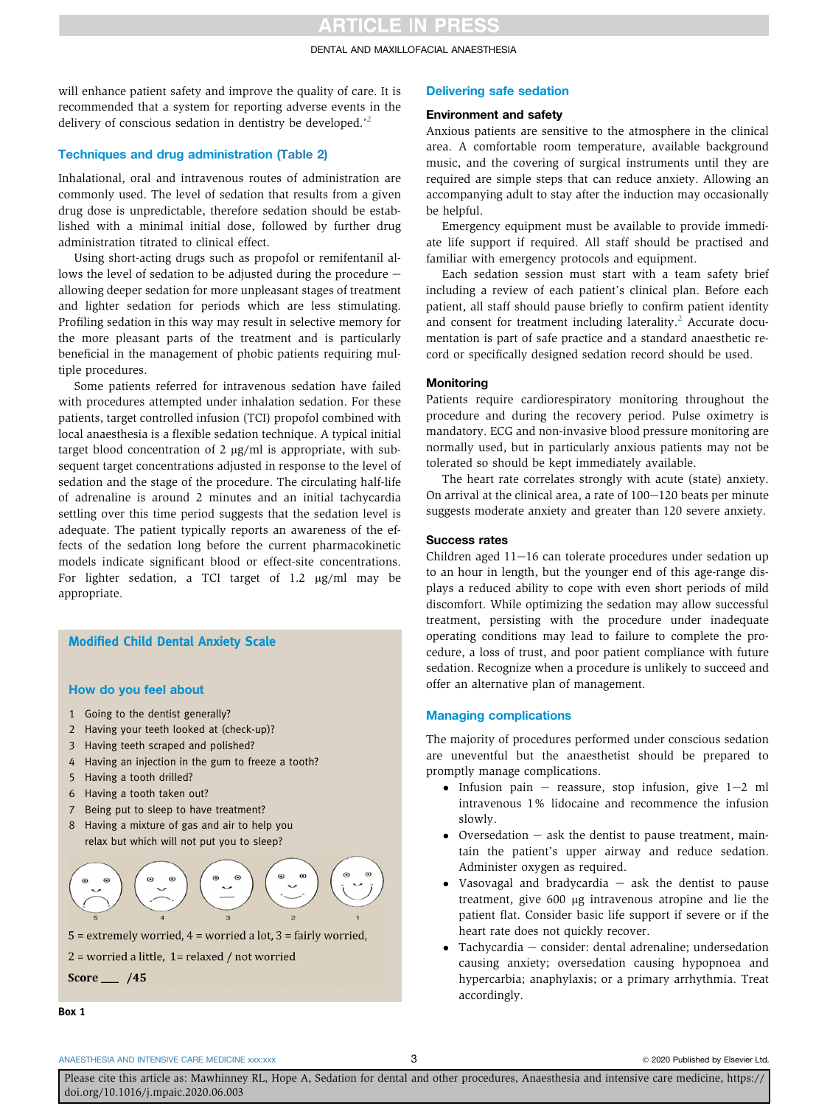# **ARTICLE IN PRESS**

#### DENTAL AND MAXILLOFACIAL ANAESTHESIA

will enhance patient safety and improve the quality of care. It is recommended that a system for reporting adverse events in the delivery of conscious sedation in dentistry be developed.'[2](#page-3-1)

# Techniques and drug administration [\(Table 2\)](#page-1-2)

Inhalational, oral and intravenous routes of administration are commonly used. The level of sedation that results from a given drug dose is unpredictable, therefore sedation should be established with a minimal initial dose, followed by further drug administration titrated to clinical effect.

Using short-acting drugs such as propofol or remifentanil allows the level of sedation to be adjusted during the procedure  $$ allowing deeper sedation for more unpleasant stages of treatment and lighter sedation for periods which are less stimulating. Profiling sedation in this way may result in selective memory for the more pleasant parts of the treatment and is particularly beneficial in the management of phobic patients requiring multiple procedures.

Some patients referred for intravenous sedation have failed with procedures attempted under inhalation sedation. For these patients, target controlled infusion (TCI) propofol combined with local anaesthesia is a flexible sedation technique. A typical initial target blood concentration of 2  $\mu$ g/ml is appropriate, with subsequent target concentrations adjusted in response to the level of sedation and the stage of the procedure. The circulating half-life of adrenaline is around 2 minutes and an initial tachycardia settling over this time period suggests that the sedation level is adequate. The patient typically reports an awareness of the effects of the sedation long before the current pharmacokinetic models indicate significant blood or effect-site concentrations. For lighter sedation, a TCI target of  $1.2 \mu g/ml$  may be appropriate.

# <span id="page-2-0"></span>Modified Child Dental Anxiety Scale

### How do you feel about

- 1 Going to the dentist generally?
- 2 Having your teeth looked at (check-up)?
- 3 Having teeth scraped and polished?
- 4 Having an injection in the gum to freeze a tooth?
- 5 Having a tooth drilled?
- 6 Having a tooth taken out?
- 7 Being put to sleep to have treatment?
- 8 Having a mixture of gas and air to help you relax but which will not put you to sleep?



 $5$  = extremely worried,  $4$  = worried a lot,  $3$  = fairly worried,

 $2$  = worried a little,  $1$  = relaxed / not worried

Score  $\_\_\$  /45

# Box 1

# Delivering safe sedation

# Environment and safety

Anxious patients are sensitive to the atmosphere in the clinical area. A comfortable room temperature, available background music, and the covering of surgical instruments until they are required are simple steps that can reduce anxiety. Allowing an accompanying adult to stay after the induction may occasionally be helpful.

Emergency equipment must be available to provide immediate life support if required. All staff should be practised and familiar with emergency protocols and equipment.

Each sedation session must start with a team safety brief including a review of each patient's clinical plan. Before each patient, all staff should pause briefly to confirm patient identity and consent for treatment including laterality.<sup>[2](#page-3-1)</sup> Accurate documentation is part of safe practice and a standard anaesthetic record or specifically designed sedation record should be used.

#### **Monitoring**

Patients require cardiorespiratory monitoring throughout the procedure and during the recovery period. Pulse oximetry is mandatory. ECG and non-invasive blood pressure monitoring are normally used, but in particularly anxious patients may not be tolerated so should be kept immediately available.

The heart rate correlates strongly with acute (state) anxiety. On arrival at the clinical area, a rate of  $100-120$  beats per minute suggests moderate anxiety and greater than 120 severe anxiety.

# Success rates

Children aged  $11-16$  can tolerate procedures under sedation up to an hour in length, but the younger end of this age-range displays a reduced ability to cope with even short periods of mild discomfort. While optimizing the sedation may allow successful treatment, persisting with the procedure under inadequate operating conditions may lead to failure to complete the procedure, a loss of trust, and poor patient compliance with future sedation. Recognize when a procedure is unlikely to succeed and offer an alternative plan of management.

# Managing complications

The majority of procedures performed under conscious sedation are uneventful but the anaesthetist should be prepared to promptly manage complications.

- Infusion pain  $-$  reassure, stop infusion, give  $1-2$  ml intravenous 1% lidocaine and recommence the infusion slowly.
- Oversedation  $-$  ask the dentist to pause treatment, maintain the patient's upper airway and reduce sedation. Administer oxygen as required.
- Vasovagal and bradycardia  $-$  ask the dentist to pause treatment, give 600 mg intravenous atropine and lie the patient flat. Consider basic life support if severe or if the heart rate does not quickly recover.
- $\bullet$  Tachycardia  $-$  consider: dental adrenaline; undersedation causing anxiety; oversedation causing hypopnoea and hypercarbia; anaphylaxis; or a primary arrhythmia. Treat accordingly.

#### [ANAESTHESIA AND INTENSIVE CARE MEDICINE xxx:xxx](https://doi.org/10.1016/j.mpaic.2020.06.003) 3 3 3 3 3 3 3 3 2020 Published by Elsevier Ltd.

Please cite this article as: Mawhinney RL, Hope A, Sedation for dental and other procedures, Anaesthesia and intensive care medicine, https:// doi.org/10.1016/j.mpaic.2020.06.003